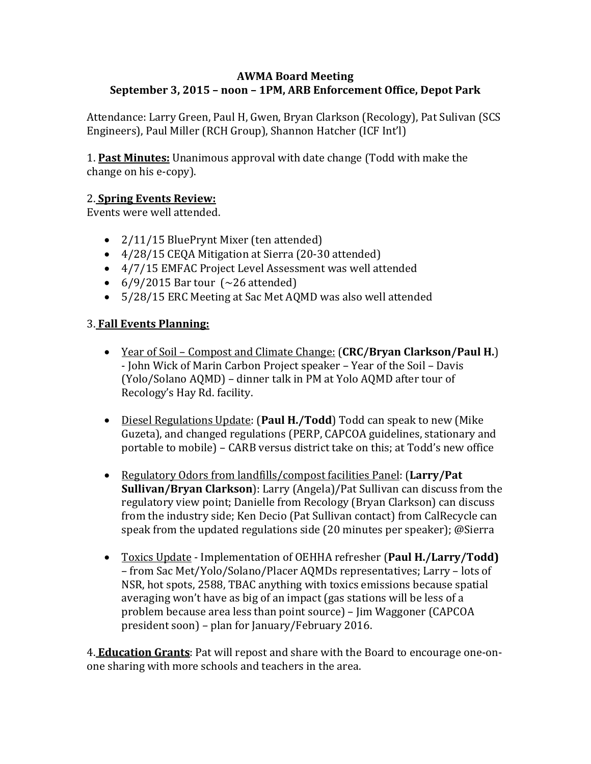## **AWMA Board Meeting September 3, 2015 – noon – 1PM, ARB Enforcement Office, Depot Park**

Attendance: Larry Green, Paul H, Gwen, Bryan Clarkson (Recology), Pat Sulivan (SCS Engineers), Paul Miller (RCH Group), Shannon Hatcher (ICF Int'l)

**1. Past Minutes:** Unanimous approval with date change (Todd with make the change on his e-copy).

## 2. **Spring Events Review:**

Events were well attended.

- 2/11/15 BluePrynt Mixer (ten attended)
- 4/28/15 CEQA Mitigation at Sierra (20-30 attended)
- 4/7/15 EMFAC Project Level Assessment was well attended
- $6/9/2015$  Bar tour  $(~26$  attended)
- 5/28/15 ERC Meeting at Sac Met AQMD was also well attended

## 3. **Fall Events Planning:**

- Year of Soil – Compost and Climate Change: (**CRC/Bryan Clarkson/Paul H.**) - John Wick of Marin Carbon Project speaker - Year of the Soil - Davis (Yolo/Solano AQMD) – dinner talk in PM at Yolo AQMD after tour of Recology's Hay Rd. facility.
- Diesel Regulations Update: (Paul H./Todd) Todd can speak to new (Mike Guzeta), and changed regulations (PERP, CAPCOA guidelines, stationary and portable to mobile) – CARB versus district take on this; at Todd's new office
- Regulatory Odors from landfills/compost facilities Panel: (Larry/Pat **Sullivan/Bryan Clarkson**): Larry (Angela)/Pat Sullivan can discuss from the regulatory view point; Danielle from Recology (Bryan Clarkson) can discuss from the industry side; Ken Decio (Pat Sullivan contact) from CalRecycle can speak from the updated regulations side (20 minutes per speaker); @Sierra
- Toxics Update Implementation of OEHHA refresher (Paul **H./Larry/Todd)** – from Sac Met/Yolo/Solano/Placer AQMDs representatives; Larry – lots of NSR, hot spots, 2588, TBAC anything with toxics emissions because spatial averaging won't have as big of an impact (gas stations will be less of a problem because area less than point source) – Jim Waggoner (CAPCOA president soon) – plan for January/February 2016.

4. **Education Grants**: Pat will repost and share with the Board to encourage one-onone sharing with more schools and teachers in the area.